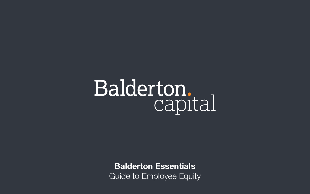# Balderton.<br>Capital

### **Balderton Essentials** Guide to Employee Equity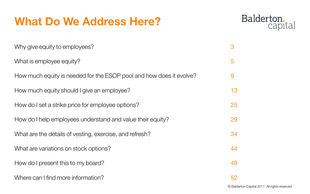### **What Do We Address Here?**

Why give equity to employees?

What is employee equity?

How much equity is needed for the ESOP pool and how does it evolve?

How much equity should I give an employee?

How do I set a strike price for employee options?

How do I help employees understand and value their equity?

What are the details of vesting, exercise, and refresh?

What are variations on stock options?

How do I present this to my board?

Where can I find more information?

### Balderton. capital

### 52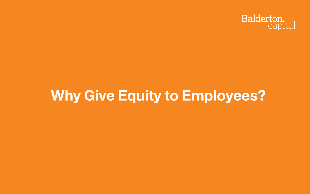## »**Why Give Equity to Employees?**

## Balderton.<br>Capital

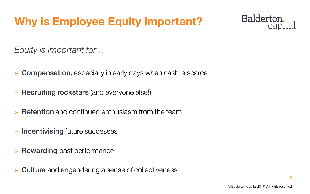© Balderton Capital 2017. All rights reserved

## **Why is Employee Equity Important?**

*Equity is important for…*

- » Compensation, especially in early days when cash is scarce
- » Recruiting rockstars (and everyone else!)
- » Retention and continued enthusiasm from the team
- » Incentivising future successes
- » Rewarding past performance
- » Culture and engendering a sense of collectiveness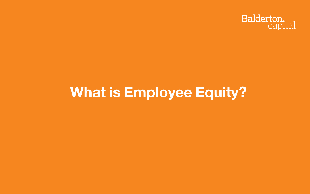## »**What is Employee Equity?**

## Balderton.<br>Capital

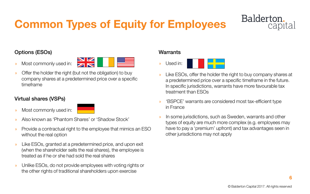## **Common Types of Equity for Employees**

### Options (ESOs)

» Most commonly used in:



» Offer the holder the right (but not the obligation) to buy company shares at a predetermined price over a specific timeframe

### Virtual shares (VSPs)

» Most commonly used in:



- » Also known as 'Phantom Shares' or 'Shadow Stock'
- » Provide a contractual right to the employee that mimics an ESO without the real option
- » Like ESOs, granted at a predetermined price, and upon exit (when the shareholder sells the real shares), the employee is treated as if he or she had sold the real shares
- » Unlike ESOs, do not provide employees with voting rights or the other rights of traditional shareholders upon exercise

#### **Warrants**

» Used in:



» Like ESOs, offer the holder the right to buy company shares at a predetermined price over a specific timeframe in the future. In specific jurisdictions, warrants have more favourable tax

» 'BSPCE' warrants are considered most tax-efficient type

- treatment than ESOs
- in France
- other jurisdictions may not apply



## **Balderton**

» In some jurisdictions, such as Sweden, warrants and other types of equity are much more complex (e.g. employees may have to pay a 'premium' upfront) and tax advantages seen in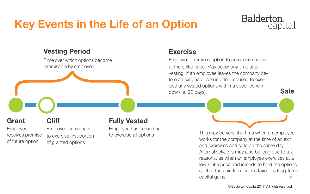## **Key Events in the Life of an Option**

### **Vesting Period**

Time over which options become exercisable by employee

**Cliff**

Employee earns right to exercise first portion of granted options

### **Grant**

Employee receives promise of future option

### **Exercise**

Employee exercises option to purchase shares at the strike price. May occur any time after vesting. If an employee leaves the company before an exit, he or she is often required to exercise any vested options within a specified window (i.e. 90 days).

> **7** This may be very short, as when an employee works for the company at the time of an exit and exercises and sells on the same day. Alternatively, this may also be long due to tax reasons, as when an employee exercises at a low strike price and intends to hold the options so that the gain from sale is taxed as long-term capital gains.

 $\overline{\phantom{a}}$ 

### Balderton. capital

}

**Sale**

### **Fully Vested**

Employee has earned right to exercise all options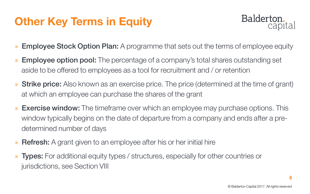## **Other Key Terms in Equity**

- » Employee Stock Option Plan: A programme that sets out the terms of employee equity
- » **Employee option pool:** The percentage of a company's total shares outstanding set aside to be offered to employees as a tool for recruitment and / or retention
- » Strike price: Also known as an exercise price. The price (determined at the time of grant) at which an employee can purchase the shares of the grant
- » Exercise window: The timeframe over which an employee may purchase options. This window typically begins on the date of departure from a company and ends after a predetermined number of days
- » Refresh: A grant given to an employee after his or her initial hire
- » Types: For additional equity types / structures, especially for other countries or jurisdictions, see Section VIII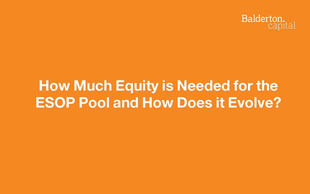## »**How Much Equity is Needed for the ESOP Pool and How Does it Evolve?**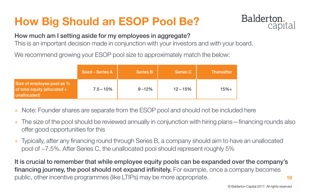© Balderton Capital 2017. All rights reserved

## **How Big Should an ESOP Pool Be?**

- » Note: Founder shares are separate from the ESOP pool and should not be included here
- » The size of the pool should be reviewed annually in conjunction with hiring plans—financing rounds also offer good opportunities for this
- » Typically, after any financing round through Series B, a company should aim to have an unallocated pool of ~7.5%. After Series C, the unallocated pool should represent roughly 5%

It is crucial to remember that while employee equity pools can be expanded over the company's financing journey, the pool should not expand infinitely. For example, once a company becomes public, other incentive programmes (like LTIPs) may be more appropriate.

## Balderton.

- 
- 
- 

### How much am I setting aside for my employees in aggregate?

This is an important decision made in conjunction with your investors and with your board.

We recommend growing your ESOP pool size to approximately match the below:

|                                                                              | <b>Seed – Series A</b> | <b>Series B</b> | <b>Series C</b> | <b>Thereafter</b> |
|------------------------------------------------------------------------------|------------------------|-----------------|-----------------|-------------------|
| Size of employee pool as %<br>of total equity (allocated $+$<br>unallocated) | $7.5 - 10\%$           | $9 - 12%$       | $12 - 15%$      | $15% +$           |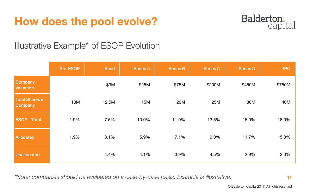© Balderton Capital 2017. All rights reserved

## **How does the pool evolve?**

### Illustrative Example\* of ESOP Evolution

*\*Note: companies should be evaluated on a case-by-case basis. Example is illustrative.*

|                                          | <b>Pre-ESOP</b> | <b>Seed</b> | <b>Series A</b> | <b>Series B</b> | <b>Series C</b> | <b>Series D</b> | <b>IPO</b> |
|------------------------------------------|-----------------|-------------|-----------------|-----------------|-----------------|-----------------|------------|
| Company<br><b>Valuation</b>              |                 | \$3M        | \$25M           | \$75M           | \$200M          | \$450M          | \$750M     |
| <b>Total Shares in</b><br><b>Company</b> | <b>10M</b>      | 12.5M       | <b>15M</b>      | <b>20M</b>      | <b>25M</b>      | <b>30M</b>      | 40M        |
| <b>ESOP-Total</b>                        | 1.9%            | 7.5%        | 10.0%           | 11.0%           | 13.5%           | 15.0%           | 18.0%      |
| <b>Allocated</b>                         | 1.9%            | 3.1%        | 5.9%            | 7.1%            | 9.0%            | 11.7%           | 15.0%      |
| Unallocated                              |                 | 4.4%        | 4.1%            | 3.9%            | 4.5%            | 2.9%            | 3.0%       |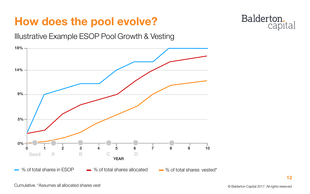© Balderton Capital 2017. All rights reserved

## **How does the pool evolve?**

Illustrative Example ESOP Pool Growth & Vesting

Cumulative. \*Assumes all allocated shares vest

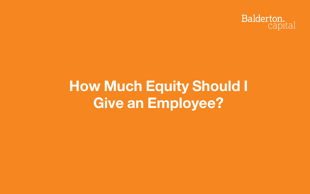## »**How Much Equity Should I Give an Employee?**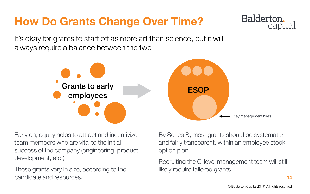© Balderton Capital 2017. All rights reserved

## **How Do Grants Change Over Time?**

It's okay for grants to start off as more art than science, but it will always require a balance between the two



Early on, equity helps to attract and incentivize team members who are vital to the initial success of the company (engineering, product development, etc.)

These grants vary in size, according to the candidate and resources.

### By Series B, most grants should be systematic and fairly transparent, within an employee stock

option plan.

Recruiting the C-level management team will still likely require tailored grants.

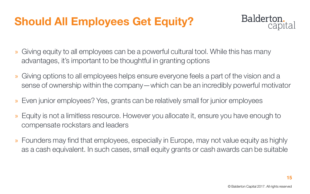## **Should All Employees Get Equity?**

- » Giving equity to all employees can be a powerful cultural tool. While this has many advantages, it's important to be thoughtful in granting options
- » Giving options to all employees helps ensure everyone feels a part of the vision and a sense of ownership within the company—which can be an incredibly powerful motivator
- » Even junior employees? Yes, grants can be relatively small for junior employees
- » Equity is not a limitless resource. However you allocate it, ensure you have enough to compensate rockstars and leaders
- » Founders may find that employees, especially in Europe, may not value equity as highly as a cash equivalent. In such cases, small equity grants or cash awards can be suitable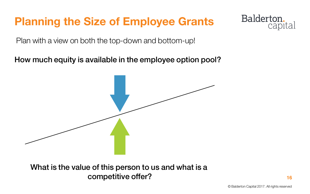© Balderton Capital 2017. All rights reserved

## **Planning the Size of Employee Grants**

Plan with a view on both the top-down and bottom-up!

What is the value of this person to us and what is a competitive offer?

### Balderton. capital

How much equity is available in the employee option pool?

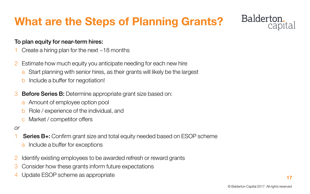© Balderton Capital 2017. All rights reserved

## **What are the Steps of Planning Grants?**

### To plan equity for near-term hires:

- Create a hiring plan for the next  $\sim$  18 months
- 2 Estimate how much equity you anticipate needing for each new hire
	- a Start planning with senior hires, as their grants will likely be the largest
	- **b** Include a buffer for negotiation!
- 3 Before Series B: Determine appropriate grant size based on:
	- a Amount of employee option pool
	- b Role / experience of the individual, and
	- c Market / competitor offers
- *or*
- **Series B+:** Confirm grant size and total equity needed based on ESOP scheme
	- Include a buffer for exceptions
- 2 Identify existing employees to be awarded refresh or reward grants
- 3 Consider how these grants inform future expectations
- 4 Update ESOP scheme as appropriate

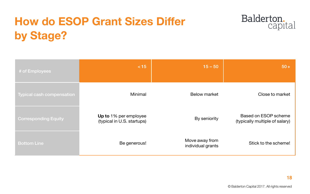© Balderton Capital 2017. All rights reserved

## **How do ESOP Grant Sizes Differ by Stage?**

| # of Employees                                                              | < 15                                                | $15 - 50$                           | $50+$                                                         |
|-----------------------------------------------------------------------------|-----------------------------------------------------|-------------------------------------|---------------------------------------------------------------|
| $\overline{\phantom{a}}$ Typical cash compensation $\overline{\phantom{a}}$ | Minimal                                             | <b>Below market</b>                 | Close to market                                               |
| <b>Corresponding Equity</b>                                                 | Up to 1% per employee<br>(typical in U.S. startups) | By seniority                        | <b>Based on ESOP scheme</b><br>(typically multiple of salary) |
| <b>Bottom Line</b>                                                          | Be generous!                                        | Move away from<br>individual grants | Stick to the scheme!                                          |

## Balderton.<br>capital

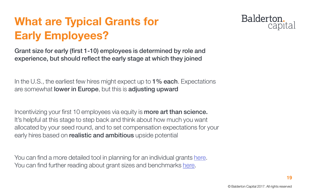© Balderton Capital 2017. All rights reserved

## **What are Typical Grants for Early Employees?**

Grant size for early (first 1-10) employees is determined by role and experience, but should reflect the early stage at which they joined

In the U.S., the earliest few hires might expect up to  $1\%$  each. Expectations are somewhat lower in Europe, but this is adjusting upward

Incentivizing your first 10 employees via equity is **more art than science.** It's helpful at this stage to step back and think about how much you want allocated by your seed round, and to set compensation expectations for your early hires based on realistic and ambitious upside potential

You can find a more detailed tool in planning for an individual grants [here](https://docs.google.com/spreadsheets/d/1viXebAe_EfMOxiIzwDe7-mC7jLntJWnbYIua4tdzLlI/edit?usp=sharing). You can find further reading about grant sizes and benchmarks [here](https://drive.google.com/open?id=1MJip35vFsmwbJJeaUe_M5iFTt7VDP5McvFtt0C1zpMc).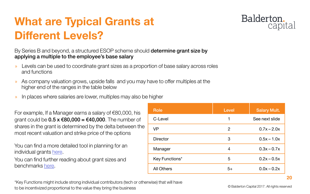© Balderton Capital 2017. All rights reserved

By Series B and beyond, a structured ESOP scheme should **determine grant size by** applying a multiple to the employee's base salary

- » Levels can be used to coordinate grant sizes as a proportion of base salary across roles and functions
- » As company valuation grows, upside falls and you may have to offer multiples at the higher end of the ranges in the table below
- » In places where salaries are lower, multiples may also be higher

You can find a more detailed tool in planning for an individual grants [here](https://docs.google.com/spreadsheets/d/1viXebAe_EfMOxiIzwDe7-mC7jLntJWnbYIua4tdzLlI/edit#gid=968627365).

You can find further reading about grant sizes and benchmarks [here](https://drive.google.com/open?id=1MJip35vFsmwbJJeaUe_M5iFTt7VDP5McvFtt0C1zpMc).

| <b>Role</b>       | <b>Level</b> | <b>Salary Mult.</b> |
|-------------------|--------------|---------------------|
| C-Level           | 1            | See next slide      |
| <b>VP</b>         | 2            | $0.7x - 2.0x$       |
| <b>Director</b>   | 3            | $0.5x - 1.0x$       |
| Manager           | 4            | $0.3x - 0.7x$       |
| Key Functions*    | 5            | $0.2x - 0.5x$       |
| <b>All Others</b> | 5+           | $0.0x - 0.2x$       |

## **What are Typical Grants at Different Levels?**

For example, If a Manager earns a salary of €80,000, his grant could be  $0.5 \times \text{\textsterling}80,000 = \text{\textsterling}40,000$ . The number of shares in the grant is determined by the delta between the most recent valuation and strike price of the options

\*Key Functions might include strong individual contributors (tech or otherwise) that will have to be incentivized proportional to the value they bring the business

| <b>Level</b> | <b>Salary Mult.</b> |
|--------------|---------------------|
| 1            | See next slide      |
| 2            | $0.7x - 2.0x$       |
| 3            | $0.5x - 1.0x$       |
| 4            | $0.3x - 0.7x$       |
| 5            | $0.2x - 0.5x$       |
| $5+$         | $0.0x - 0.2x$       |
|              |                     |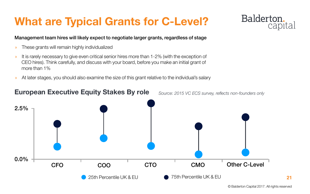© Balderton Capital 2017. All rights reserved

## **What are Typical Grants for C-Level?**

#### Management team hires will likely expect to negotiate larger grants, regardless of stage

- » These grants will remain highly individualized
- » It is rarely necessary to give even critical senior hires more than 1-2% (with the exception of CEO hires). Think carefully, and discuss with your board, before you make an initial grant of more than 1%
- » At later stages, you should also examine the size of this grant relative to the individual's salary

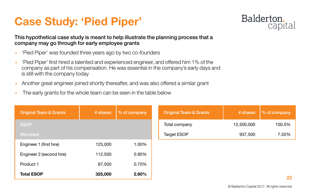- » 'Pied Piper' was founded three years ago by two co-founders
- » 'Pied Piper' first hired a talented and experienced engineer, and offered him 1% of the company as part of his compensation. He was essential in the company's early days and is still with the company today
- » Another great engineer joined shortly thereafter, and was also offered a similar grant
- » The early grants for the whole team can be seen in the table below

#### This hypothetical case study is meant to help illustrate the planning process that a company may go through for early employee grants

## **Case Study: 'Pied Piper'**

| <b>Original Team &amp; Grants</b> | # shares   | $\parallel$ % of company |
|-----------------------------------|------------|--------------------------|
| Total company                     | 12,500,000 | 100.0%                   |
| <b>Target ESOP</b>                | 937,500    | 7.50%                    |

| <b>Original Team &amp; Grants</b> | # shares | % of company | <b>Original Team &amp; Grants</b> |
|-----------------------------------|----------|--------------|-----------------------------------|
| <b>ESOP</b>                       |          |              | Total company                     |
| <b>Allocated</b>                  |          |              | <b>Target ESOP</b>                |
| Engineer 1 (first hire)           | 125,000  | 1.00%        |                                   |
| Engineer 2 (second hire)          | 112,500  | 0.90%        |                                   |
| Product 1                         | 87,500   | 0.70%        |                                   |
| <b>Total ESOP</b>                 | 325,000  | 2.60%        |                                   |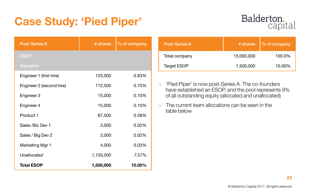

## **Case Study: 'Pied Piper'**

| <b>Post-Series A</b>     | # shares  | % of company | <b>Post-Series A</b>                                                                                                 | # shares   | % of company |
|--------------------------|-----------|--------------|----------------------------------------------------------------------------------------------------------------------|------------|--------------|
| <b>ESOP</b>              |           |              | Total company                                                                                                        | 15,000,000 | 100.0%       |
| <b>Allocated</b>         |           |              | <b>Target ESOP</b>                                                                                                   | 1,500,000  | 10,00%       |
| Engineer 1 (first hire)  | 125,000   | 0.83%        |                                                                                                                      |            |              |
| Engineer 2 (second hire) | 112,500   | 0.75%        | 'Pied Piper' is now post-Series A. The co-founders<br>$\sum$<br>have established an ESOP, and the pool represents 9% |            |              |
| Engineer 3               | 15,000    | 0.10%        | of all outstanding equity (allocated and unallocated)                                                                |            |              |
| Engineer 4               | 15,000    | 0.10%        | The current team allocations can be seen in the<br>$\lambda$                                                         |            |              |
| <b>Product 1</b>         | 87,500    | 0.58%        | table below                                                                                                          |            |              |
| Sales / Biz Dev 1        | 3,000     | 0.02%        |                                                                                                                      |            |              |
| Sales / Big Dev 2        | 3,000     | $0.02\%$     |                                                                                                                      |            |              |
| <b>Marketing Mgr 1</b>   | 4,000     | 0.03%        |                                                                                                                      |            |              |
| Unallocated              | 1,135,000 | 7.57%        |                                                                                                                      |            |              |
| <b>Total ESOP</b>        | 1,500,000 | 10.00%       |                                                                                                                      |            |              |

## Balderton.<br>capital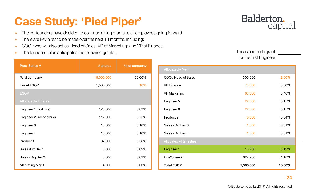© Balderton Capital 2017. All rights reserved

## **Case Study: 'Pied Piper'**

- » The co-founders have decided to continue giving grants to all employees going forward
- » There are key hires to be made over the next 18 months, including:
- » COO, who will also act as Head of Sales; VP of Marketing; and VP of Finance
- » The founders' plan anticipates the following grants :

| <b>Post-Series A</b>        | # shares   | % of company |
|-----------------------------|------------|--------------|
| Total company               | 15,000,000 | 100.00%      |
| <b>Target ESOP</b>          | 1,500,000  | 10%          |
| <b>ESOP</b>                 |            |              |
| <b>Allocated - Existing</b> |            |              |
| Engineer 1 (first hire)     | 125,000    | 0.83%        |
| Engineer 2 (second hire)    | 112,500    | 0.75%        |
| Engineer 3                  | 15,000     | 0.10%        |
| Engineer 4                  | 15,000     | 0.10%        |
| Product 1                   | 87,500     | 0.58%        |
| Sales / Biz Dev 1           | 3,000      | 0.02%        |
| Sales / Big Dev 2           | 3,000      | 0.02%        |
| <b>Marketing Mgr 1</b>      | 4,000      | 0.03%        |

|                              | This is a refresh grant |        |
|------------------------------|-------------------------|--------|
|                              | for the first Engineer  |        |
| <b>Allocated - New</b>       |                         |        |
| COO / Head of Sales          | 300,000                 | 2.00%  |
| <b>VP Finance</b>            | 75,000                  | 0.50%  |
| <b>VP Marketing</b>          | 60,000                  | 0.40%  |
| Engineer 5                   | 22,500                  | 0.15%  |
| Engineer 6                   | 22,500                  | 0.15%  |
| Product 2                    | 6,000                   | 0.04%  |
| Sales / Biz Dev 3            | 1,500                   | 0.01%  |
| Sales / Biz Dev 4            | 1,500                   | 0.01%  |
| <b>Allocated - Refreshes</b> |                         |        |
| <b>Engineer 1</b>            | 18,750                  | 0.13%  |
| <b>Unallocated</b>           | 627,250                 | 4.18%  |
| <b>Total ESOP</b>            | 1,500,000               | 10.00% |

| <b>Allocated - New</b>       |  |
|------------------------------|--|
| COO / Head of Sales          |  |
| <b>VP Finance</b>            |  |
| <b>VP Marketing</b>          |  |
| Engineer 5                   |  |
| Engineer 6                   |  |
| Product 2                    |  |
| Sales / Biz Dev 3            |  |
| Sales / Biz Dev 4            |  |
| <b>Allocated - Refreshes</b> |  |
| <b>Engineer 1</b>            |  |
| Unallocated                  |  |
| <b>Total ESOP</b>            |  |
|                              |  |

## Balderton.<br>capital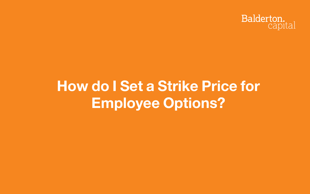## »**How do I Set a Strike Price for Employee Options?**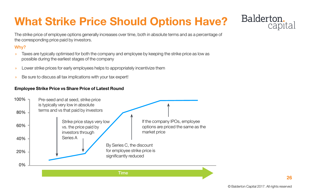© Balderton Capital 2017. All rights reserved

## **What Strike Price Should Options Have?**

The strike price of employee options generally increases over time, both in absolute terms and as a percentage of the corresponding price paid by investors.

#### Why?

- » Taxes are typically optimised for both the company and employee by keeping the strike price as low as possible during the earliest stages of the company
- » Lower strike prices for early employees helps to appropriately incentivize them
- » Be sure to discuss all tax implications with your tax expert!

#### **Employee Strike Price vs Share Price of Latest Round**



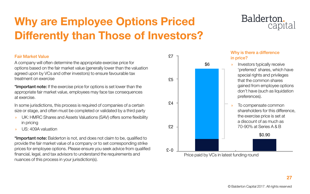## **Why are Employee Options Priced Differently than Those of Investors?**

#### Fair Market Value

A company will often determine the appropriate exercise price for options based on the fair market value (generally lower than the valuation agreed upon by VCs and other investors) to ensure favourable tax treatment on exercise

\*Important note: If the exercise price for options is set lower than the appropriate fair market value, employees may face tax consequences at exercise.

\*Important note: Balderton is not, and does not claim to be, qualified to provide the fair market value of a company or to set corresponding strike prices for employee options. Please ensure you seek advice from qualified financial, legal, and tax advisors to understand the requirements and nuances of this process in your jurisdiction(s).

In some jurisdictions, this process is required of companies of a certain size or stage, and often must be completed or validated by a third party

- » UK: HMRC Shares and Assets Valuations (SAV) offers some flexibility in pricing
- » US: 409A valuation

\$0.90

#### Why is there a difference in price?

- » Investors typically receive 'preferred' shares, which have special rights and privileges that the common shares gained from employee options don't have (such as liquidation preferences).
- » To compensate common shareholders for this difference, the exercise price is set at a discount of as much as 70-90% at Series A & B



### Balderton. capital

Price paid by VCs in latest funding round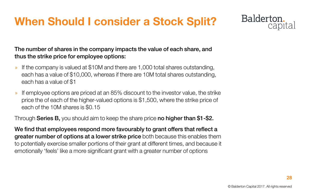© Balderton Capital 2017. All rights reserved

## **When Should I consider a Stock Split?**

The number of shares in the company impacts the value of each share, and thus the strike price for employee options:

- » If the company is valued at \$10M and there are 1,000 total shares outstanding, each has a value of \$10,000, whereas if there are 10M total shares outstanding, each has a value of \$1
- » If employee options are priced at an 85% discount to the investor value, the strike price the of each of the higher-valued options is \$1,500, where the strike price of each of the 10M shares is \$0.15

Through **Series B**, you should aim to keep the share price **no higher than \$1-\$2.** 

We find that employees respond more favourably to grant offers that reflect a greater number of options at a lower strike price both because this enables them to potentially exercise smaller portions of their grant at different times, and because it emotionally 'feels' like a more significant grant with a greater number of options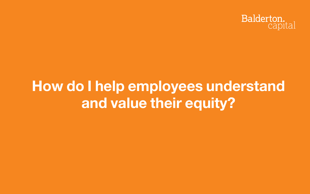## »**How do I help employees understand and value their equity?**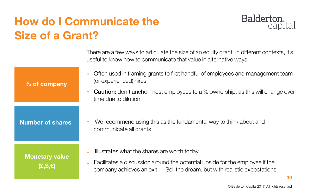© Balderton Capital 2017. All rights reserved

## **How do I Communicate the Size of a Grant?**

**% of company**

**Number of shares**

**Monetary value (£,\$,€)**

There are a few ways to articulate the size of an equity grant. In different contexts, it's useful to know how to communicate that value in alternative ways.

- » Often used in framing grants to first handful of employees and management team (or experienced) hires
- » **Caution:** don't anchor most employees to a % ownership, as this will change over time due to dilution

- » We recommend using this as the fundamental way to think about and communicate all grants
- » Illustrates what the shares are worth today
- » Facilitates a discussion around the potential upside for the employee if the company achieves an exit — Sell the dream, but with realistic expectations!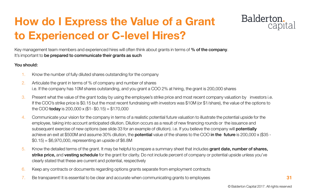## **How do I Express the Value of a Grant to Experienced or C-level Hires?**

Key management team members and experienced hires will often think about grants in terms of % of the company. It's important to be prepared to communicate their grants as such

#### You should:

- 1. Know the number of fully diluted shares outstanding for the company
- 2. Articulate the grant in terms of % of company and number of shares i.e. If the company has 10M shares outstanding, and you grant a COO 2% at hiring, the grant is 200,000 shares
- 3. Present what the value of the grant today by using the employee's strike price and most recent company valuation by investors i.e. If the COO's strike price is \$0.15 but the most recent fundraising with investors was \$10M (or \$1/share), the value of the options to the COO **today** is 200,000 x  $($1 - $0.15) = $170,000$
- 4. Communicate your vision for the company in terms of a realistic potential future valuation to illustrate the potential upside for the employee, taking into account anticipated dilution. Dilution occurs as a result of new financing rounds or the issuance and subsequent exercise of new options (see slide 33 for an example of dilution). i.e. If you believe the company will **potentially** achieve an exit at \$500M and assume 30% dilution, the **potential** value of the shares to the COO in the future is 200,000 x (\$35 -\$0.15) = \$6,970,000, representing an upside of \$6.8M
- 5. Know the detailed terms of the grant. It may be helpful to prepare a summary sheet that includes grant date, number of shares, strike price, and vesting schedule for the grant for clarity. Do not include percent of company or potential upside unless you've clearly stated that these are current and potential, respectively
- 6. Keep any contracts or documents regarding options grants separate from employment contracts
- 7. Be transparent! It is essential to be clear and accurate when communicating grants to employees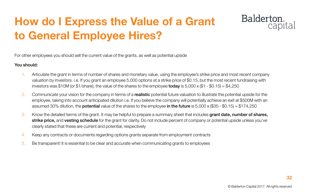## **How do I Express the Value of a Grant to General Employee Hires?**

For other employees you should sell the current value of the grants, as well as potential upside

#### You should:

- 1. Articulate the grant in terms of number of shares and monetary value, using the employee's strike price and most recent company valuation by investors. i.e. If you grant an employee 5,000 options at a strike price of \$0.15, but the most recent fundraising with investors was \$10M (or \$1/share), the value of the shares to the employee **today** is 5,000 x (\$1 - \$0.15) = \$4,250
- 2. Communicate your vision for the company in terms of a realistic potential future valuation to illustrate the potential upside for the employee, taking into account anticipated dilution i.e. If you believe the company will potentially achieve an exit at \$500M with an assumed 30% dilution, the **potential** value of the shares to the employee in the future is 5,000 x (\$35 - \$0.15) = \$174,250
- 3. Know the detailed terms of the grant. It may be helpful to prepare a summary sheet that includes grant date, number of shares, strike price, and vesting schedule for the grant for clarity. Do not include percent of company or potential upside unless you've clearly stated that these are current and potential, respectively
- 4. Keep any contracts or documents regarding options grants separate from employment contracts
- 5. Be transparent! It is essential to be clear and accurate when communicating grants to employees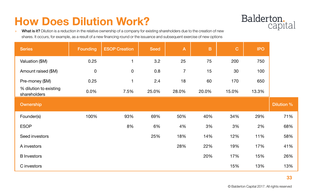© Balderton Capital 2017. All rights reserved

» What is it? Dilution is a reduction in the relative ownership of a company for existing shareholders due to the creation of new shares. It occurs, for example, as a result of a new financing round or the issuance and subsequent exercise of new options

## **How Does Dilution Work?**

| <b>Series</b>                          | <b>Founding</b> | <b>ESOP Creation</b> | <b>Seed</b> | $\mathsf{A}$   | $\mathbf B$ | $\mathbf C$ | <b>IPO</b> |                   |
|----------------------------------------|-----------------|----------------------|-------------|----------------|-------------|-------------|------------|-------------------|
| Valuation (\$M)                        | 0.25            |                      | 3.2         | 25             | 75          | 200         | 750        |                   |
| Amount raised (\$M)                    | $\mathbf 0$     | $\overline{0}$       | 0.8         | $\overline{7}$ | 15          | 30          | 100        |                   |
| Pre-money (\$M)                        | 0.25            |                      | 2.4         | 18             | 60          | 170         | 650        |                   |
| % dilution to existing<br>shareholders | 0.0%            | 7.5%                 | 25.0%       | 28.0%          | 20.0%       | 15.0%       | 13.3%      |                   |
| Ownership                              |                 |                      |             |                |             |             |            | <b>Dilution %</b> |
| Founder(s)                             | 100%            | 93%                  | 69%         | 50%            | 40%         | 34%         | 29%        | 71%               |
| <b>ESOP</b>                            |                 | 8%                   | 6%          | 4%             | 3%          | 3%          | 2%         | 68%               |
| Seed investors                         |                 |                      | 25%         | 18%            | 14%         | 12%         | 11%        | 58%               |
| A investors                            |                 |                      |             | 28%            | 22%         | 19%         | 17%        | 41%               |
| <b>B</b> Investors                     |                 |                      |             |                | 20%         | 17%         | 15%        | 26%               |
| C investors                            |                 |                      |             |                |             | 15%         | 13%        | 13%               |

## Balderton.<br>Capital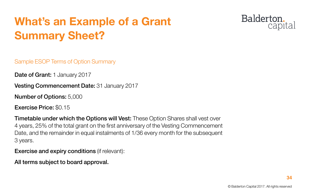© Balderton Capital 2017. All rights reserved

## **What's an Example of a Grant Summary Sheet?**

Sample ESOP Terms of Option Summary

Date of Grant: 1 January 2017

**Vesting Commencement Date: 31 January 2017** 

Number of Options: 5,000

Exercise Price: \$0.15

**Timetable under which the Options will Vest:** These Option Shares shall vest over 4 years, 25% of the total grant on the first anniversary of the Vesting Commencement Date, and the remainder in equal instalments of 1/36 every month for the subsequent 3 years.

Exercise and expiry conditions (if relevant):

All terms subject to board approval.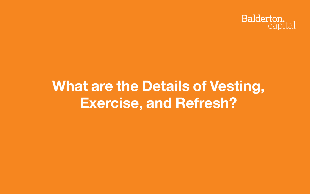## »**What are the Details of Vesting, Exercise, and Refresh?**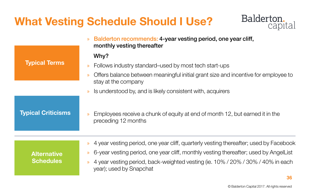© Balderton Capital 2017. All rights reserved

## **What Vesting Schedule Should I Use?**



- 
- 
- 
-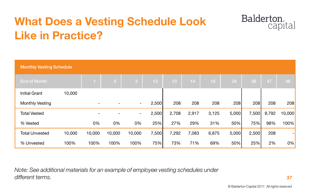## **What Does a Vesting Schedule Look Like in Practice?**

*Note: See additional materials for an example of employee vesting schedules under different terms.*

| <b>Monthly Vesting Schedule</b> |        |        |            |                |                 |       |       |       |       |       |       |        |
|---------------------------------|--------|--------|------------|----------------|-----------------|-------|-------|-------|-------|-------|-------|--------|
| <b>End of Month</b>             |        |        | $\sqrt{2}$ | 3              | 12 <sub>2</sub> | 13    | 14    | 15    | 24    | 36    | 47    | 48     |
| <b>Initial Grant</b>            | 10,000 |        |            |                |                 |       |       |       |       |       |       |        |
| <b>Monthly Vesting</b>          |        |        |            | $\blacksquare$ | 2,500           | 208   | 208   | 208   | 208   | 208   | 208   | 208    |
| <b>Total Vested</b>             |        |        |            | $\blacksquare$ | 2,500           | 2,708 | 2,917 | 3,125 | 5,000 | 7,500 | 9,792 | 10,000 |
| % Vested                        |        | 0%     | 0%         | 0%             | 25%             | 27%   | 29%   | 31%   | 50%   | 75%   | 98%   | 100%   |
| <b>Total Unvested</b>           | 10,000 | 10,000 | 10,000     | 10,000         | 7,500           | 7,292 | 7,083 | 6,875 | 5,000 | 2,500 | 208   |        |
| % Unvested                      | 100%   | 100%   | 100%       | 100%           | 75%             | 73%   | 71%   | 69%   | 50%   | 25%   | 2%    | $0\%$  |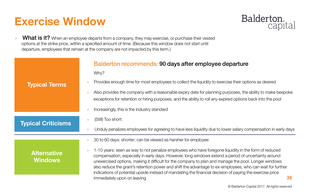© Balderton Capital 2017. All rights reserved

### **Exercise Window**

**»** What is it? When an employee departs from a company, they may exercise, or purchase their vested options at the strike price, within a specified amount of time. (Because this window does not start until departure, employees that remain at the company are not impacted by this term.)

|                                      | <b>Balderton recommends: 90 days after employee</b><br>Why?                                                                                                                                                                                                                                                                                                                                 |
|--------------------------------------|---------------------------------------------------------------------------------------------------------------------------------------------------------------------------------------------------------------------------------------------------------------------------------------------------------------------------------------------------------------------------------------------|
| <b>Typical Terms</b>                 | Provides enough time for most employees to collect the liquidity to ex-<br>$\mathcal{D}$                                                                                                                                                                                                                                                                                                    |
|                                      | Also provides the company with a reasonable expiry date for planning<br>$\mathcal{P}$<br>exceptions for retention or hiring purposes, and the ability to roll any e                                                                                                                                                                                                                         |
|                                      | Increasingly, this is the industry standard<br>$\mathcal{D}$                                                                                                                                                                                                                                                                                                                                |
| <b>Typical Criticisms</b>            | (Still) Too short:<br>$\mathcal{D}$                                                                                                                                                                                                                                                                                                                                                         |
|                                      | Unduly penalizes employees for agreeing to have less liquidity due to<br>$\mathcal{D}$                                                                                                                                                                                                                                                                                                      |
|                                      | 30 to 60 days: shorter; can be viewed as harsher for employee<br>$\mathcal{D}$                                                                                                                                                                                                                                                                                                              |
| <b>Alternative</b><br><b>Windows</b> | 1-10 years: seen as way to not penalize employees who have foregore<br>$\mathcal{D}$<br>compensation, especially in early days. However, long windows exter<br>unexercised options, making it difficult for the company to plan and m<br>also reduce the grant's retention power and shift the advantage to ex-<br>indications of potential upside instead of mandating the financial deci- |
|                                      | immediately upon on leaving                                                                                                                                                                                                                                                                                                                                                                 |

## Balderton.<br>capital

### departure

wercise their options as desired

g purposes, the ability to make bespoke expired options back into the pool

lower salary compensation in early days

ne liquidity in the form of reduced nd a period of uncertainty around nanage the pool. Longer windows -employees, who can wait for further ision of paying the exercise price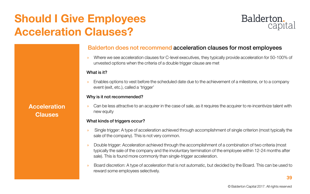© Balderton Capital 2017. All rights reserved

## **Should I Give Employees Acceleration Clauses?**

**Acceleration Clauses**

### Balderton does not recommend acceleration clauses for most employees

» Where we see acceleration clauses for C-level executives, they typically provide acceleration for 50-100% of unvested options when the criteria of a double trigger clause are met

» Can be less attractive to an acquirer in the case of sale, as it requires the acquirer to re-incentivize talent with new equity

#### What is it?

» Enables options to vest before the scheduled date due to the achievement of a milestone, or to a company event (exit, etc.), called a 'trigger'

#### Why is it not recommended?

#### What kinds of triggers occur?

- » Single trigger: A type of acceleration achieved through accomplishment of single criterion (most typically the sale of the company). This is not very common.
- » Double trigger: Acceleration achieved through the accomplishment of a combination of two criteria (most typically the sale of the company and the involuntary termination of the employee within 12-24 months after sale). This is found more commonly than single-trigger acceleration.
- » Board discretion: A type of acceleration that is not automatic, but decided by the Board. This can be used to reward some employees selectively.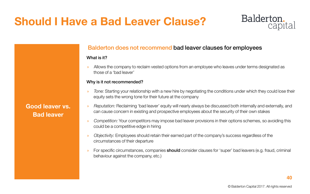© Balderton Capital 2017. All rights reserved

### **Should I Have a Bad Leaver Clause?**

### **Good leaver vs. Bad leaver**

### Balderton does not recommend bad leaver clauses for employees

#### What is it?

» Allows the company to reclaim vested options from an employee who leaves under terms designated as those of a 'bad leaver'

#### Why is it not recommended?

- » *Tone:* Starting your relationship with a new hire by negotiating the conditions under which they could lose their equity sets the wrong tone for their future at the company
- » *Reputation:* Reclaiming 'bad leaver' equity will nearly always be discussed both internally and externally, and can cause concern in existing and prospective employees about the security of their own stakes
- » *Competition:* Your competitors may impose bad leaver provisions in their options schemes, so avoiding this could be a competitive edge in hiring
- » *Objectivity:* Employees should retain their earned part of the company's success regardless of the circumstances of their departure
- For specific circumstances, companies **should** consider clauses for 'super' bad leavers (e.g. fraud, criminal behaviour against the company, etc.)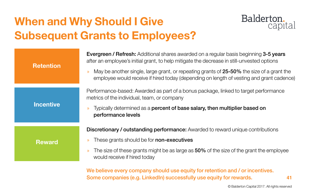© Balderton Capital 2017. All rights reserved

## **When and Why Should I Give Subsequent Grants to Employees?**



We believe every company should use equity for retention and / or incentives. Some companies (e.g. LinkedIn) successfully use equity for rewards.

- 
- 
- 

- 
-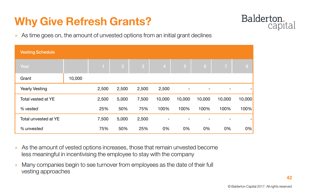» As time goes on, the amount of unvested options from an initial grant declines

- » As the amount of vested options increases, those that remain unvested become less meaningful in incentivising the employee to stay with the company
- » Many companies begin to see turnover from employees as the date of their full vesting approaches

### Balderton. capital

|        | 8      |
|--------|--------|
|        |        |
|        |        |
| 10,000 | 10,000 |
| 100%   | 100%   |
|        |        |
| 0%     | 0%     |

## **Why Give Refresh Grants?**

| <b>Vesting Schedule</b>     |        |              |                |       |                |                |                |                |                          |
|-----------------------------|--------|--------------|----------------|-------|----------------|----------------|----------------|----------------|--------------------------|
| Year                        |        | $\mathbf{1}$ | 2 <sup>1</sup> | 3     | $\overline{4}$ | 5 <sub>5</sub> | 6 <sup>1</sup> | $\overline{7}$ | 8                        |
| Grant                       | 10,000 |              |                |       |                |                |                |                |                          |
| <b>Yearly Vesting</b>       |        | 2,500        | 2,500          | 2,500 | 2,500          | $\blacksquare$ | $\blacksquare$ | $\blacksquare$ | $\overline{\phantom{0}}$ |
| <b>Total vested at YE</b>   |        | 2,500        | 5,000          | 7,500 | 10,000         | 10,000         | 10,000         | 10,000         | 10,000                   |
| % vested                    |        | 25%          | 50%            | 75%   | 100%           | 100%           | 100%           | 100%           | 100%                     |
| <b>Total unvested at YE</b> |        | 7,500        | 5,000          | 2,500 | $\blacksquare$ |                |                |                | ÷                        |
| % unvested                  |        | 75%          | 50%            | 25%   | 0%             | 0%             | 0%             | 0%             | 0%                       |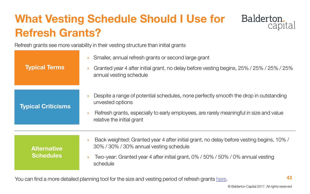© Balderton Capital 2017. All rights reserved

## **What Vesting Schedule Should I Use for Refresh Grants?**



You can find a more detailed planning tool for the size and vesting period of refresh grants [here](https://docs.google.com/spreadsheets/d/1viXebAe_EfMOxiIzwDe7-mC7jLntJWnbYIua4tdzLlI/edit#gid=968627365).



### Balderton. capital

Refresh grants see more variability in their vesting structure than initial grants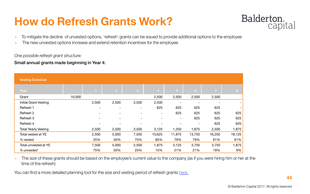© Balderton Capital 2017. All rights reserved

» The size of these grants should be based on the employee's current value to the company (as if you were hiring him or her at the time of the refresh)

You can find a more detailed planning tool for the size and vesting period of refresh grants [here.](https://docs.google.com/spreadsheets/d/1viXebAe_EfMOxiIzwDe7-mC7jLntJWnbYIua4tdzLlI/edit#gid=968627365)

## Balderton.<br>capital

| <b>Vesting Schedule</b>      |        |                          |                          |                          |                          |                          |                          |                          |                |
|------------------------------|--------|--------------------------|--------------------------|--------------------------|--------------------------|--------------------------|--------------------------|--------------------------|----------------|
| Year                         |        |                          | $\sqrt{2}$               | $\mathbf{3}$             | $\overline{4}$           | 5 <sup>1</sup>           | 6                        | $\overline{7}$           | 8 <sup>°</sup> |
| Grant                        | 10,000 |                          |                          |                          | 2,500                    | 2,500                    | 2,500                    | 2,500                    |                |
| <b>Initial Grant Vesting</b> |        | 2,500                    | 2,500                    | 2,500                    | 2,500                    |                          | $\overline{\phantom{a}}$ | $\overline{\phantom{a}}$ |                |
| Refresh 1                    |        | $\overline{\phantom{0}}$ | $\overline{\phantom{a}}$ | $\overline{\phantom{a}}$ | 625                      | 625                      | 625                      | 625                      |                |
| Refresh 2                    |        |                          | $\overline{\phantom{a}}$ | $\overline{\phantom{a}}$ | $\overline{\phantom{a}}$ | 625                      | 625                      | 625                      | 625            |
| Refresh 3                    |        | $\overline{\phantom{0}}$ | $\overline{\phantom{a}}$ | $\overline{\phantom{a}}$ | $\overline{\phantom{a}}$ | $\overline{\phantom{a}}$ | 625                      | 625                      | 625            |
| Refresh 4                    |        |                          | $\overline{\phantom{a}}$ | $\overline{\phantom{a}}$ |                          |                          | $\overline{\phantom{a}}$ | 625                      | 625            |
| <b>Total Yearly Vesting</b>  |        | 2,500                    | 2,500                    | 2,500                    | 3,125                    | 1,250                    | 1,875                    | 2,500                    | 1,875          |
| <b>Total vested at YE</b>    |        | 2,500                    | 5,000                    | 7,500                    | 10,625                   | 11,875                   | 13,750                   | 16,250                   | 18,125         |
| % vested                     |        | 25%                      | 50%                      | 75%                      | 85%                      | 79%                      | 79%                      | 81%                      | 91%            |
| <b>Total unvested at YE</b>  |        | 7,500                    | 5,000                    | 2,500                    | 1,875                    | 3,125                    | 3,750                    | 3,750                    | 1,875          |
| % unvested                   |        | 75%                      | 50%                      | 25%                      | 15%                      | 21%                      | 21%                      | 19%                      | 9%             |

## **How do Refresh Grants Work?**

- » To mitigate the decline of unvested options, 'refresh' grants can be issued to provide additional options to the employee
- » The new unvested options increase and extend retention incentives for the employee

#### *One possible refresh grant structure:*

#### Small annual grants made beginning in Year 4: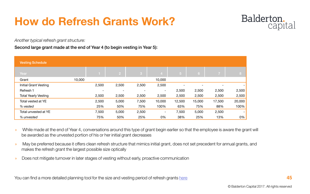© Balderton Capital 2017. All rights reserved

| <b>Vesting Schedule</b>      |        |                          |                          |                |                          |                          |                |                          |        |
|------------------------------|--------|--------------------------|--------------------------|----------------|--------------------------|--------------------------|----------------|--------------------------|--------|
| Year                         |        |                          | $\overline{2}$           | $\overline{3}$ | $\overline{4}$           | 757                      | 6 <sup>1</sup> | $\overline{7}$           | 8      |
| Grant                        | 10,000 |                          |                          |                | 10,000                   |                          |                |                          |        |
| <b>Initial Grant Vesting</b> |        | 2,500                    | 2,500                    | 2,500          | 2,500                    | $\overline{\phantom{a}}$ |                | $\overline{\phantom{0}}$ |        |
| Refresh 1                    |        | $\overline{\phantom{0}}$ | $\overline{\phantom{a}}$ |                | $\overline{\phantom{a}}$ | 2,500                    | 2,500          | 2,500                    | 2,500  |
| <b>Total Yearly Vesting</b>  |        | 2,500                    | 2,500                    | 2,500          | 2,500                    | 2,500                    | 2,500          | 2,500                    | 2,500  |
| Total vested at YE           |        | 2,500                    | 5,000                    | 7,500          | 10,000                   | 12,500                   | 15,000         | 17,500                   | 20,000 |
| % vested                     |        | 25%                      | 50%                      | 75%            | 100%                     | 63%                      | 75%            | 88%                      | 100%   |
| Total unvested at YE         |        | 7,500                    | 5,000                    | 2,500          | $\sim$                   | 7,500                    | 5,000          | 2,500                    |        |
| % unvested                   |        | 75%                      | 50%                      | 25%            | 0%                       | 38%                      | 25%            | 13%                      | 0%     |

- » While made at the end of Year 4, conversations around this type of grant begin earlier so that the employee is aware the grant will be awarded as the unvested portion of his or her initial grant decreases
- » May be preferred because it offers clean refresh structure that mimics initial grant, does not set precedent for annual grants, and makes the refresh grant the largest possible size optically
- » Does not mitigate turnover in later stages of vesting without early, proactive communication

You can find a more detailed planning tool for the size and vesting period of refresh grants [here](https://docs.google.com/spreadsheets/d/1viXebAe_EfMOxiIzwDe7-mC7jLntJWnbYIua4tdzLlI/edit#gid=968627365)

### Balderton. capital

*Another typical refresh grant structure:*

#### Second large grant made at the end of Year 4 (to begin vesting in Year 5):

## **How do Refresh Grants Work?**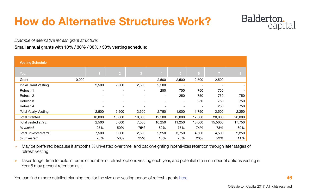© Balderton Capital 2017. All rights reserved

» May be preferred because it smooths % unvested over time, and backweighting incentivizes retention through later stages of refresh vesting

» Takes longer time to build in terms of number of refresh options vesting each year, and potential dip in number of options vesting in Year 5 may present retention risk

You can find a more detailed planning tool for the size and vesting period of refresh grants [here](https://docs.google.com/spreadsheets/d/1viXebAe_EfMOxiIzwDe7-mC7jLntJWnbYIua4tdzLlI/edit#gid=968627365)

### Balderton. capital

| <b>Vesting Schedule</b>      |                          |                          |                          |                          |                          |                |                |        |
|------------------------------|--------------------------|--------------------------|--------------------------|--------------------------|--------------------------|----------------|----------------|--------|
| Year                         |                          | $\sqrt{2}$               | $\mathbf{3}$             | $\overline{4}$           | $\sqrt{5}$               | 6              | $\overline{7}$ | 8      |
| Grant                        | 10,000                   |                          |                          | 2,500                    | 2,500                    | 2,500          | 2,500          |        |
| <b>Initial Grant Vesting</b> | 2,500                    | 2,500                    | 2,500                    | 2,500                    | $\overline{\phantom{a}}$ |                |                |        |
| Refresh 1                    | $\overline{\phantom{a}}$ | $\overline{\phantom{a}}$ | $\overline{\phantom{a}}$ | 250                      | 750                      | 750            | 750            |        |
| Refresh 2                    | $\overline{\phantom{a}}$ |                          | $\overline{\phantom{0}}$ | $\overline{\phantom{a}}$ | 250                      | 750            | 750            | 750    |
| Refresh 3                    | $\overline{\phantom{a}}$ | $\overline{\phantom{0}}$ | $\overline{\phantom{0}}$ | $\overline{\phantom{a}}$ | $\sim$                   | 250            | 750            | 750    |
| Refresh 4                    | $\overline{\phantom{a}}$ |                          |                          |                          | $\overline{\phantom{0}}$ | $\blacksquare$ | 250            | 750    |
| <b>Total Yearly Vesting</b>  | 2,500                    | 2,500                    | 2,500                    | 2,750                    | 1,000                    | 1,750          | 2,500          | 2,250  |
| <b>Total Granted</b>         | 10,000                   | 10,000                   | 10,000                   | 12,500                   | 15,000                   | 17,500         | 20,000         | 20,000 |
| Total vested at YE           | 2,500                    | 5,000                    | 7,500                    | 10,250                   | 11,250                   | 13,000         | 15,5000        | 17,750 |
| % vested                     | 25%                      | 50%                      | 75%                      | 82%                      | 75%                      | 74%            | 78%            | 89%    |
| Total unvested at YE         | 7,500                    | 5,000                    | 2,500                    | 2,250                    | 3,750                    | 4,500          | 4,500          | 2,250  |
| % unvested                   | 75%                      | 50%                      | 25%                      | 18%                      | 25%                      | 26%            | 23%            | 11%    |

*Example of alternative refresh grant structure:*

Small annual grants with 10% / 30% / 30% / 30% vesting schedule:

## **How do Alternative Structures Work?**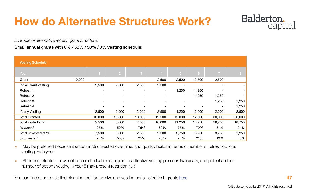» May be preferred because it smooths % unvested over time, and quickly builds in terms of number of refresh options vesting each year

» Shortens retention power of each individual refresh grant as effective vesting period is two years, and potential dip in number of options vesting in Year 5 may present retention risk

You can find a more detailed planning tool for the size and vesting period of refresh grants [here](https://docs.google.com/spreadsheets/d/1viXebAe_EfMOxiIzwDe7-mC7jLntJWnbYIua4tdzLlI/edit#gid=968627365)

### Balderton. capital

| <b>Vesting Schedule</b>      |        |                          |                          |        |                          |                          |                |                |        |
|------------------------------|--------|--------------------------|--------------------------|--------|--------------------------|--------------------------|----------------|----------------|--------|
| Year                         |        |                          | $\sqrt{2}$               | 3      | $\overline{4}$           | 5 <sup>5</sup>           | 6 <sup>1</sup> | $\overline{7}$ | 8      |
| Grant                        | 10,000 |                          |                          |        | 2,500                    | 2,500                    | 2,500          | 2,500          |        |
| <b>Initial Grant Vesting</b> |        | 2,500                    | 2,500                    | 2,500  | 2,500                    | $\overline{\phantom{0}}$ |                |                |        |
| Refresh 1                    |        | $\overline{\phantom{a}}$ | $\overline{\phantom{0}}$ |        | $\overline{\phantom{a}}$ | 1,250                    | 1,250          |                |        |
| Refresh 2                    |        |                          | $\overline{\phantom{0}}$ |        | $\overline{\phantom{a}}$ | $-$                      | 1,250          | 1,250          |        |
| Refresh 3                    |        | $\overline{\phantom{a}}$ | $\overline{\phantom{0}}$ |        | $\overline{\phantom{a}}$ | $\overline{\phantom{a}}$ |                | 1,250          | 1,250  |
| Refresh 4                    |        | $\overline{\phantom{a}}$ | $\overline{\phantom{a}}$ |        |                          |                          |                |                | 1,250  |
| <b>Yearly Vesting</b>        |        | 2,500                    | 2,500                    | 2,500  | 2,500                    | 1,250                    | 2,500          | 2,500          | 2,500  |
| <b>Total Granted</b>         |        | 10,000                   | 10,000                   | 10,000 | 12,500                   | 15,000                   | 17,500         | 20,000         | 20,000 |
| Total vested at YE           |        | 2,500                    | 5,000                    | 7,500  | 10,000                   | 11,250                   | 13,750         | 16,250         | 18,750 |
| % vested                     |        | 25%                      | 50%                      | 75%    | 80%                      | 75%                      | 79%            | 81%            | 94%    |
| Total unvested at YE         |        | 7,500                    | 5,000                    | 2,500  | 2,500                    | 3,750                    | 3,750          | 3,750          | 1,250  |
| % unvested                   |        | 75%                      | 50%                      | 25%    | 20%                      | 25%                      | 21%            | 19%            | 6%     |

*Example of alternative refresh grant structure:*

Small annual grants with 0% / 50% / 50% / 0% vesting schedule:

## **How do Alternative Structures Work?**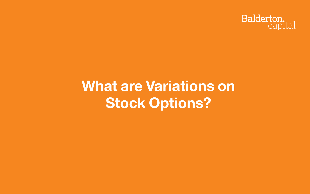## »**What are Variations on Stock Options?**

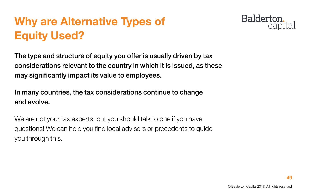

## **Why are Alternative Types of Equity Used?**

The type and structure of equity you offer is usually driven by tax considerations relevant to the country in which it is issued, as these may significantly impact its value to employees.

We are not your tax experts, but you should talk to one if you have questions! We can help you find local advisers or precedents to guide you through this.

### Balderton. capital

In many countries, the tax considerations continue to change and evolve.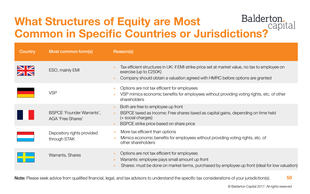### Balderton. **What Structures of Equity are Most Common in Specific Countries or Jurisdictions?**

| <b>Country</b> | Most common form(s)                                          | Reason(s)                                                                                                                                                                                            |
|----------------|--------------------------------------------------------------|------------------------------------------------------------------------------------------------------------------------------------------------------------------------------------------------------|
|                | ESO, mainly EMI                                              | Tax efficient structures in UK: if EMI strike price set at r<br>$\mathcal{D}$<br>exercise (up to £250K)<br>Company should obtain a valuation agreed with HMR<br>$\mathcal{P}$                        |
|                | <b>VSP</b>                                                   | Options are not tax efficient for employees<br>$\mathcal{P}$<br>VSP mimics economic benefits for employees without<br>$\mathcal{D}$<br>shareholders                                                  |
|                | <b>BSPCE 'Founder Warrants',</b><br><b>AGA 'Free Shares'</b> | Both are free to employee up front<br>$\gg$<br>BSPCE taxed as income; Free shares taxed as capita<br>$\mathcal{D}$<br>(+ social charges)<br>BSPCE strike price based on share price<br>$\mathcal{P}$ |
|                | Depository rights provided<br>through STAK                   | More tax efficient than options<br>$\mathcal{D}$<br>Mimics economic benefits for employees without prov<br>$\mathcal{D}$<br>other shareholders                                                       |
|                | <b>Warrants, Shares</b>                                      | Options are not tax efficient for employees<br>$\mathcal{Y}$<br>Warrants: employee pays small amount up front<br>$\mathcal{D}$<br>Shares: must be done on market terms, purchased b<br>$\mathcal{D}$ |

**50** Note: Please seek advice from qualified financial, legal, and tax advisors to understand the specific tax considerations of your jurisdiction(s).

market value, no tax to employee on

**C** before options are granted

It providing voting rights, etc. of other

I gains, depending on time held

viding voting rights, etc. of

y employee up front (ideal for low valuation)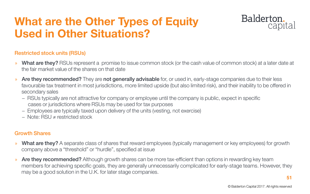© Balderton Capital 2017. All rights reserved

### **What are the Other Types of Equity Used in Other Situations?**

### Restricted stock units (RSUs)

- » What are they? RSUs represent a promise to issue common stock (or the cash value of common stock) at a later date at the fair market value of the shares on that date
- » Are they recommended? They are not generally advisable for, or used in, early-stage companies due to their less favourable tax treatment in most jurisdictions, more limited upside (but also limited risk), and their inability to be offered in secondary sales
	- − RSUs typically are not attractive for company or employee until the company is public, expect in specific cases or jurisdictions where RSUs may be used for tax purposes
	- − Employees are typically taxed upon delivery of the units (vesting, not exercise)
	- − Note: RSU ≠ restricted stock

- » What are they? A separate class of shares that reward employees (typically management or key employees) for growth company above a "threshold" or "hurdle", specified at issue
- » Are they recommended? Although growth shares can be more tax-efficient than options in rewarding key team members for achieving specific goals, they are generally unnecessarily complicated for early-stage teams. However, they may be a good solution in the U.K. for later stage companies.

### Balderton. capital

#### Growth Shares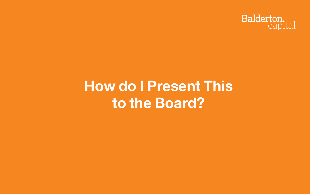## »**How do I Present This to the Board?**

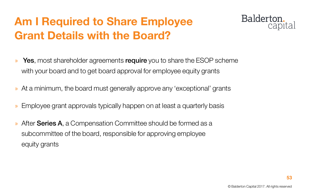© Balderton Capital 2017. All rights reserved

## **Am I Required to Share Employee Grant Details with the Board?**

- » Yes, most shareholder agreements require you to share the ESOP scheme with your board and to get board approval for employee equity grants
- » At a minimum, the board must generally approve any 'exceptional' grants
- » Employee grant approvals typically happen on at least a quarterly basis
- » After **Series A**, a Compensation Committee should be formed as a subcommittee of the board, responsible for approving employee equity grants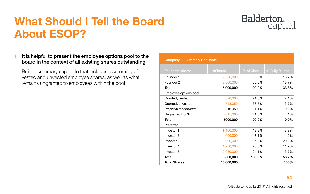© Balderton Capital 2017. All rights reserved

### **What Should I Tell the Board About ESOP?**

#### 1. It is helpful to present the employee options pool to the board in the context of all existing shares outstanding

Build a summary cap table that includes a summary of vested and unvested employee shares, as well as what remains ungranted to employees within the pool

| <b>Company A - Summary Cap Table</b> |            |            |                 |
|--------------------------------------|------------|------------|-----------------|
| <b>Founders' shares</b>              | #Shares    | % of Class | % Fully Diluted |
| Founder 1                            | 2,500,000  | 50.0%      | 16.7%           |
| Founder 2                            | 2,500,000  | 50.0%      | 16.7%           |
| <b>Total</b>                         | 5,000,000  | 100.0%     | 33.3%           |
| Employee options pool                |            |            |                 |
| Granted, vested                      | 320,000    | 21.3%      | 2.1%            |
| Granted, unvested                    | 548,050    | 36.5%      | 3.7%            |
| Proposal for approval                | 16,950     | 1.1%       | 0.1%            |
| <b>Ungranted ESOP</b>                | 615,000    | 41.0%      | 4.1%            |
| <b>Total</b>                         | 1,5000,000 | 100.0%     | 10.0%           |
| Preferred                            |            |            |                 |
| Investor 1                           | 1,100,000  | 12.9%      | 7.3%            |
| Investor 2                           | 600,000    | 7.1%       | 4.0%            |
| Investor 3                           | 3,000,000  | 35.3%      | 20.0%           |
| Investor 4                           | 1,750,000  | 20.6%      | 11.7%           |
| Investor 5                           | 2,050,000  | 24.1%      | 13.7%           |
| <b>Total</b>                         | 8,500,000  | 100.0%     | 56.7%           |
| <b>Total Shares</b>                  | 15,000,000 |            | 100%            |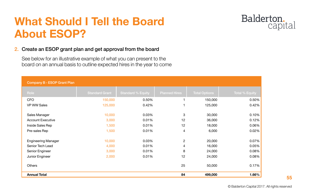© Balderton Capital 2017. All rights reserved

### **What Should I Tell the Board About ESOP?**

#### 2. Create an ESOP grant plan and get approval from the board

See below for an illustrative example of what you can present to the board on an annual basis to outline expected hires in the year to come

| <b>Company B - ESOP Grant Plan</b> |                       |                          |                      |                      |                       |
|------------------------------------|-----------------------|--------------------------|----------------------|----------------------|-----------------------|
| Role                               | <b>Standard Grant</b> | <b>Standard % Equity</b> | <b>Planned Hires</b> | <b>Total Options</b> | <b>Total % Equity</b> |
| <b>CFO</b>                         | 150,000               | 0.50%                    |                      | 150,000              | 0.50%                 |
| <b>VP WW Sales</b>                 | 125,000               | 0.42%                    |                      | 125,000              | 0.42%                 |
| Sales Manager                      | 10,000                | 0.03%                    | 3                    | 30,000               | 0.10%                 |
| <b>Account Executive</b>           | 3,000                 | 0.01%                    | 12                   | 36,000               | 0.12%                 |
| Inside Sales Rep                   | 1,500                 | 0.01%                    | 12                   | 18,000               | 0.06%                 |
| Pre-sales Rep                      | 1,500                 | 0.01%                    | 4                    | 6,000                | 0.02%                 |
| <b>Engineering Manager</b>         | 10,000                | 0.03%                    | $\overline{2}$       | 20,000               | 0.07%                 |
| <b>Senior Tech Lead</b>            | 4,000                 | 0.01%                    | 4                    | 16,000               | 0.05%                 |
| <b>Senior Engineer</b>             | 3,000                 | 0.01%                    | 8                    | 24,000               | 0.08%                 |
| Junior Engineer                    | 2,000                 | 0.01%                    | 12                   | 24,000               | 0.08%                 |
| <b>Others</b>                      |                       |                          | 25                   | 50,000               | 0.17%                 |
| <b>Annual Total</b>                |                       |                          | 84                   | 499,000              | 1.66%                 |

| <u>Total % Equity</u> |  |  |
|-----------------------|--|--|
|                       |  |  |

| 1.66%    |  |
|----------|--|
| 0.17%    |  |
| $0.08\%$ |  |
| 0.08%    |  |
| 0.05%    |  |
| 0.07%    |  |
| 0.02%    |  |
|          |  |
| 0.06%    |  |
| 0.12%    |  |
| 0.10%    |  |
| 0.42%    |  |
| 0.50%    |  |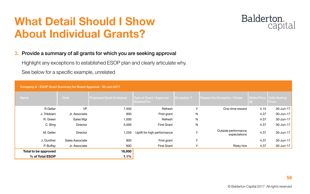© Balderton Capital 2017. All rights reserved

### **What Detail Should I Show About Individual Grants?**

#### 3. Provide a summary of all grants for which you are seeking approval

Highlight any exceptions to established ESOP plan and clearly articulate why.

See below for a specific example, unrelated

| Company A - ESOP Grant Summary for Board Approval - 30-Jun-2017 |                 |                                  |                                                      |                   |                                     |                     |                             |
|-----------------------------------------------------------------|-----------------|----------------------------------|------------------------------------------------------|-------------------|-------------------------------------|---------------------|-----------------------------|
| <b>Name</b>                                                     | Role            | <b>Proposed Grant (# shares)</b> | <b>Type of Grant / Approval</b><br><b>Needed For</b> | <b>Exception?</b> | <b>Reason for Exception / Notes</b> | <b>Strike Price</b> | <b>Date Vesting</b><br>From |
| R.Geller                                                        | <b>VP</b>       | 7,500                            | Refresh                                              | Y                 | One-time reward                     | 4.15                | $30$ -Jun-17                |
| J. Tribbiani                                                    | Jr. Associate   | 800                              | First grant                                          | N                 |                                     | 4.37                | $30$ -Jun-17                |
| R. Green                                                        | Sales Mgr       | 1,000                            | Refresh                                              | N                 |                                     | 4.37                | $30$ -Jun-17                |
| C. Bing                                                         | <b>Director</b> | 5,000                            | <b>First Grant</b>                                   | N                 |                                     | 4.37                | $30$ -Jun-17                |
| M. Geller                                                       | <b>Director</b> | 1,250                            | Uplift for high performance                          | $\vee$            | Outside performance<br>expectations | 4.37                | $30$ -Jun-17                |
| J. Gunther                                                      | Sales Associate | 800                              | First grant                                          | Y                 |                                     | 4.37                | $30$ -Jun-17                |
| P. Buffay                                                       | Jr. Associate   | 600                              | <b>First Grant</b>                                   | Y                 | <b>Risky hire</b>                   | 4.37                | $30$ -Jun-17                |
| Total to be approved                                            |                 | 16,950                           |                                                      |                   |                                     |                     |                             |
| % of Total ESOP                                                 |                 | 1.1%                             |                                                      |                   |                                     |                     |                             |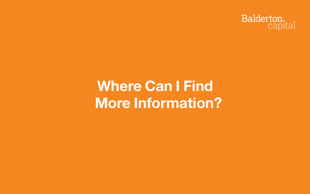## **Where Can I Find More Information?**

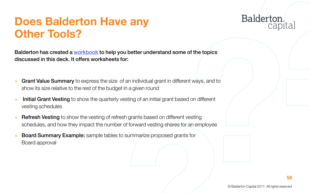

### **Does Balderton Have any Other Tools?**

Balderton has created a [workbook](https://docs.google.com/spreadsheets/d/1viXebAe_EfMOxiIzwDe7-mC7jLntJWnbYIua4tdzLlI/edit#gid=968627365) to help you better understand some of the topics discussed in this deck. It offers worksheets for:

- » Grant Value Summary to express the size of an individual grant in different ways, and to show its size relative to the rest of the budget in a given round
- » Initial Grant Vesting to show the quarterly vesting of an initial grant based on different vesting schedules
- » Refresh Vesting to show the vesting of refresh grants based on different vesting schedules, and how they impact the number of forward vesting shares for an employee
- » Board Summary Example: sample tables to summarize proposed grants for Board approval